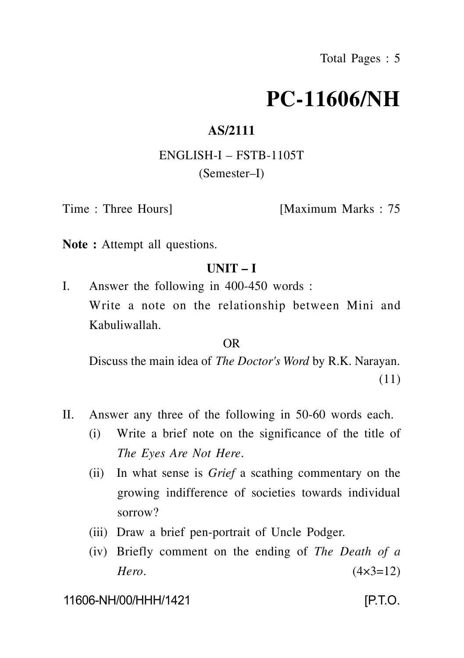# **PC-11606/NH**

## **AS/2111**

## ENGLISH-I – FSTB-1105T (Semester–I)

Time : Three Hours [Maximum Marks : 75

**Note :** Attempt all questions.

## **UNIT – I**

I. Answer the following in 400-450 words : Write a note on the relationship between Mini and Kabuliwallah.

#### OR

Discuss the main idea of *The Doctor's Word* by R.K. Narayan. (11)

- II. Answer any three of the following in 50-60 words each.
	- (i) Write a brief note on the significance of the title of *The Eyes Are Not Here*.
	- (ii) In what sense is *Grief* a scathing commentary on the growing indifference of societies towards individual sorrow?
	- (iii) Draw a brief pen-portrait of Uncle Podger.
	- (iv) Briefly comment on the ending of *The Death of a Hero*. (4×3=12)

11606-NH/00/HHH/1421 [P.T.O.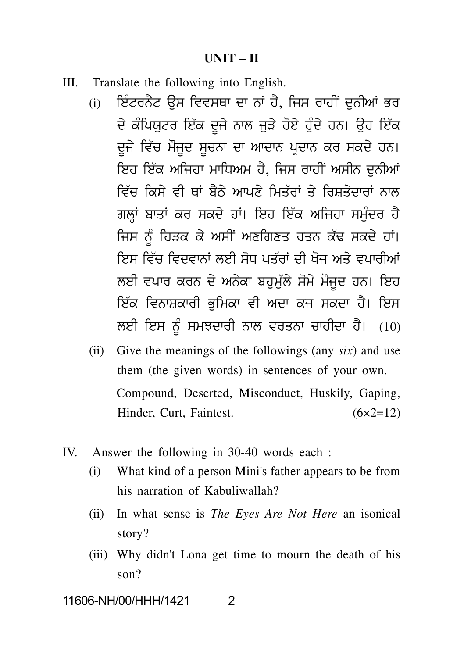#### **UNIT – II**

- III. Translate the following into English.
- $UNIT II$ <br>Translate the following into English.<br>(i) ਇੰਟਰਨੈਟ ਉਸ ਵਿਵਸਥਾ ਦਾ ਨਾਂ ਹੈ, ਜਿਸ ਰਾਹੀਂ ਦੁਨੀਆਂ ਭਰ<br>ਦੇ ਕੰਪਿਯੁਟਰ ਇੱਕ ਦੂਜੇ ਨਾਲ ਜੁੜੇ ਹੋਏ ਹੁੰਦੇ ਹਨ। ਉਹ ਇੱਕ<br>ਦੂਜੇ ਵਿੱਚ ਮੌਜੂਦ ਸੂਚਨਾ ਦਾ ਆਦਾਨ ਪਦਾਨ ਕਰ ਸਕਦੇ ਹਨ।  $\text{UNIT} - \text{II}$ <br>slate the following into English.<br>ਇੰਟਰਨੈਂਟ ਉਸ ਵਿਵਸਥਾ ਦਾ ਨਾਂ ਹੈ, ਜਿਸ ਰਾਹੀਂ ਦੁਨੀਆਂ ਭਰ<br>ਦੇ ਕੰਪਿਯੁਟਰ ਇੱਕ ਦੂਜੇ ਨਾਲ ਜੁੜੇ ਹੋਏ ਹੁੰਦੇ ਹਨ। ਉਹ ਇੱਕ<br>ਦੂਜੇ ਵਿੱਚ ਮੌਜੂਦ ਸੂਚਨਾ ਦਾ ਆਦਾਨ ਪ੍ਰਦਾਨ ਕਰ ਸਕਦੇ ਹਨ।<br>ਇਹ ਇੱਕ ਅਜਿਹਾ ਮਾਧਿਅਮ ਹ slate the following into English.<br>ਇੰਟਰਨੈਟ ਉਸ ਵਿਵਸਥਾ ਦਾ ਨਾਂ ਹੈ, ਜਿਸ ਰਾਹੀਂ ਦੁਨੀਆਂ ਭਰ<br>ਦੇ ਕੰਪਿਯੁਟਰ ਇੱਕ ਦੂਜੇ ਨਾਲ ਜੁੜੇ ਹੋਏ ਹੁੰਦੇ ਹਨ। ਉਹ ਇੱਕ<br>ਦੂਜੇ ਵਿੱਚ ਮੌਜੂਦ ਸੂਚਨਾ ਦਾ ਆਦਾਨ ਪ੍ਰਦਾਨ ਕਰ ਸਕਦੇ ਹਨ।<br>ਇਹ ਇੱਕ ਅਜਿਹਾ ਮਾਧਿਅਮ ਹੈ, ਜਿਸ ਰਾਹੀਂ ਅਸੀ ਇਟਰਨਟ ਉਸ ਵਿਵਸਥਾ ਦਾ ਨਾ ਹ, ਜਿਸ ਰਾਹੀ ਦੁਨੀਆ ਭਰ<br>ਦੇ ਕੰਪਿਯੁਟਰ ਇੱਕ ਦੂਜੇ ਨਾਲ ਜੁੜੇ ਹੋਏ ਹੁੰਦੇ ਹਨ। ਉਹ ਇੱਕ<br>ਦੂਜੇ ਵਿੱਚ ਮੌਜੂਦ ਸੂਚਨਾ ਦਾ ਆਦਾਨ ਪ੍ਰਦਾਨ ਕਰ ਸਕਦੇ ਹਨ।<br>ਇਹ ਇੱਕ ਅਜਿਹਾ ਮਾਧਿਅਮ ਹੈ, ਜਿਸ ਰਾਹੀਂ ਅਸੀਨ ਦੁਨੀਆਂ<br>ਵਿੱਚ ਕਿਸੇ ਵੀ ਥਾਂ ਬੈਠੇ ਆਪਣੇ ਮਿਤੱ ਦੂਜੇ ਵਿੱਚ ਮੌਜੂਦ ਸੂਚਨਾ ਦਾ ਆਦਾਨ ਪ੍ਰਦਾਨ ਕਰ ਸਕਦੇ ਹਨ।<br>ਇਹ ਇੱਕ ਅਜਿਹਾ ਮਾਧਿਅਮ ਹੈ, ਜਿਸ ਰਾਹੀਂ ਅਸੀਨ ਦੁਨੀਆਂ<br>ਵਿੱਚ ਕਿਸੇ ਵੀ ਥਾਂ ਬੈਠੇ ਆਪਣੇ ਮਿਤੱਰਾਂ ਤੇ ਰਿਸ਼ਤੇਦਾਰਾਂ ਨਾਲ<br>ਗਲ੍ਹਾਂ ਬਾਤਾਂ ਕਰ ਸਕਦੇ ਹਾਂ। ਇਹ ਇੱਕ ਅਜਿਹਾ ਸਮੁੰਦਰ ਹੈ<br>ਜਿਸ ਨੰ ਹਿੜਕ ਕੇ ਅਸੀਂ ਅਣ ਦੂਜ ਵਿਚ ਮਜੂਦ ਸੂਚਨਾ ਦਾ ਆਦਾਨ ਪ੍ਰਦਾਨ ਕਰ ਸਕਦ ਹਨ।<br>ਇਹ ਇੱਕ ਅਜਿਹਾ ਮਾਧਿਅਮ ਹੈ, ਜਿਸ ਰਾਹੀਂ ਅਸੀਨ ਦੁਨੀਆਂ<br>ਵਿੱਚ ਕਿਸੇ ਵੀ ਥਾਂ ਬੈਠੇ ਆਪਣੇ ਮਿਤੱਰਾਂ ਤੇ ਰਿਸ਼ਤੇਦਾਰਾਂ ਨਾਲ<br>ਗਲ੍ਹਾਂ ਬਾਤਾਂ ਕਰ ਸਕਦੇ ਹਾਂ। ਇਹ ਇੱਕ ਅਜਿਹਾ ਸਮੁੰਦਰ ਹੈ<br>ਜਿਸ ਨੂੰ ਹਿੜਕ ਕੇ ਅਸੀਂ ਅਣਗਿਣ ਇਹ ਇਕ ਅਜਿਹਾ ਮਾਧਿਅਮ ਹ, ਜਿਸ ਰਾਹੀ ਅਸੀਨ ਦੁਨੀਆ<br>ਵਿੱਚ ਕਿਸੇ ਵੀ ਥਾਂ ਬੈਠੇ ਆਪਣੇ ਮਿਤੱਰਾਂ ਤੇ ਰਿਸ਼ਤੇਦਾਰਾਂ ਨਾਲ<br>ਗਲ੍ਹਾਂ ਬਾਤਾਂ ਕਰ ਸਕਦੇ ਹਾਂ। ਇਹ ਇੱਕ ਅਜਿਹਾ ਸਮੁੰਦਰ ਹੈ<br>ਜਿਸ ਨੂੰ ਹਿੜਕ ਕੇ ਅਸੀਂ ਅਣਗਿਣਤ ਰਤਨ ਕੱਢ ਸਕਦੇ ਹਾਂ।<br>ਇਸ ਵਿੱਚ ਵਿਦਵਾਨਾਂ ਲਈ ਸੋਧ ਪਤੱਰਾ ਵਿਚ ਕਿਸ ਵੀ ਥਾ ਬਠ ਆਪਣ ਮਿਤਰਾ ਤ ਰਿਸ਼ਤਦਾਰਾ ਨਾਲ<br>ਗਲ੍ਹਾਂ ਬਾਤਾਂ ਕਰ ਸਕਦੇ ਹਾਂ। ਇਹ ਇੱਕ ਅਜਿਹਾ ਸਮੁੰਦਰ ਹੈ<br>ਜਿਸ ਨੂੰ ਹਿੜਕ ਕੇ ਅਸੀਂ ਅਣਗਿਣਤ ਰਤਨ ਕੱਢ ਸਕਦੇ ਹਾਂ।<br>ਇਸ ਵਿੱਚ ਵਿਦਵਾਨਾਂ ਲਈ ਸੋਧ ਪਤੱਰਾਂ ਦੀ ਖੋਜ ਅਤੇ ਵਪਾਰੀਆਂ<br>ਲਈ ਵਪਾਰ ਕਰਨ ਦੇ ਅਨੇਕਾ ਬਹੁਮੁੱਲੇ ਸੋ ਗਲ੍ਹਾ ਬਾਤਾ ਕਰ ਸਕਦਂ ਹਾ। ਇਹ ਇਕ ਅਜਿਹਾ ਸਮੁਦਰ ਹੋ<br>ਜਿਸ ਨੂੰ ਹਿੜਕ ਕੇ ਅਸੀਂ ਅਣਗਿਣਤ ਰਤਨ ਕੱਢ ਸਕਦੇ ਹਾਂ।<br>ਇਸ ਵਿੱਚ ਵਿਦਵਾਨਾਂ ਲਈ ਸੋਧ ਪਤੱਰਾਂ ਦੀ ਖੋਜ ਅਤੇ ਵਪਾਰੀਆਂ<br>ਲਈ ਵਪਾਰ ਕਰਨ ਦੇ ਅਨੇਕਾ ਬਹੁਮੁੱਲੇ ਸੋਮੇ ਮੌਜੂਦ ਹਨ। ਇਹ<br>ਇੱਕ ਵਿਨਾਸ਼ਕਾਰੀ ਭੁਮਿਕਾ ਵੀ ਅਦਾ ਕਜ ਜਿਸ ਨੂ ਹਿੜਕ ਕ ਅਸੀਂ ਅਣਗਿਣਤ ਰਤਨ ਕਢ ਸਕਦਂ ਹਾ।<br>ਇਸ ਵਿੱਚ ਵਿਦਵਾਨਾਂ ਲਈ ਸੋਧ ਪਤੱਰਾਂ ਦੀ ਖੋਜ ਅਤੇ ਵਪਾਰੀਆਂ<br>ਲਈ ਵਪਾਰ ਕਰਨ ਦੇ ਅਨੇਕਾ ਬਹੁਮੁੱਲੇ ਸੋਮੇ ਮੌਜੂਦ ਹਨ। ਇਹ<br>ਇੱਕ ਵਿਨਾਸ਼ਕਾਰੀ ਭੁਮਿਕਾ ਵੀ ਅਦਾ ਕਜ ਸਕਦਾ ਹੈ। ਇਸ<br>ਲਈ ਇਸ ਨੂੰ ਸਮਝਦਾਰੀ ਨਾਲ ਵਰਤਨਾ ਚਾਹੀਦਾ ਹ ਇਸ ਵਿਚ ਵਿਦਵਾਨਾ ਲਈ ਸੋਧ ਪਤਰਾ ਦੀ ਖੋਜ ਅਤੇ ਵਪਾਰੀਆ<br>ਲਈ ਵਪਾਰ ਕਰਨ ਦੇ ਅਨੇਕਾ ਬਹੁਮੁੱਲੇ ਸੋਮੇ ਮੌਜੂਦ ਹਨ। ਇਹ<br>ਇੱਕ ਵਿਨਾਸ਼ਕਾਰੀ ਭੁਮਿਕਾ ਵੀ ਅਦਾ ਕਜ ਸਕਦਾ ਹੈ। ਇਸ<br>ਲਈ ਇਸ ਨੂੰ ਸਮਝਦਾਰੀ ਨਾਲ ਵਰਤਨਾ ਚਾਹੀਦਾ ਹੈ। (10)<br>Give the meanings of the followings (an
	- (ii) Give the meanings of the followings (any *six*) and use them (the given words) in sentences of your own. Compound, Deserted, Misconduct, Huskily, Gaping, Hinder, Curt, Faintest. (6×2=12)
- IV. Answer the following in 30-40 words each :
	- (i) What kind of a person Mini's father appears to be from his narration of Kabuliwallah?
	- (ii) In what sense is *The Eyes Are Not Here* an isonical story?
	- (iii) Why didn't Lona get time to mourn the death of his son?

11606-NH/00/HHH/1421 2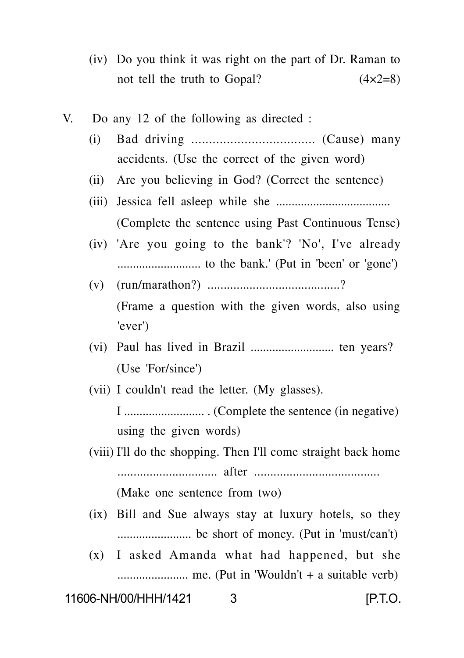- (iv) Do you think it was right on the part of Dr. Raman to not tell the truth to Gopal?  $(4 \times 2=8)$
- V. Do any 12 of the following as directed :
	- (i) Bad driving ................................... (Cause) many accidents. (Use the correct of the given word)
	- (ii) Are you believing in God? (Correct the sentence)
	- (iii) Jessica fell asleep while she ..................................... (Complete the sentence using Past Continuous Tense)
	- (iv) 'Are you going to the bank'? 'No', I've already ........................... to the bank.' (Put in 'been' or 'gone')
	- (v) (run/marathon?) .........................................? (Frame a question with the given words, also using 'ever')
	- (vi) Paul has lived in Brazil ........................... ten years? (Use 'For/since')
	- (vii) I couldn't read the letter. (My glasses).

I .......................... . (Complete the sentence (in negative) using the given words)

(viii) I'll do the shopping. Then I'll come straight back home ............................... after .......................................

(Make one sentence from two)

- (ix) Bill and Sue always stay at luxury hotels, so they ........................ be short of money. (Put in 'must/can't)
- (x) I asked Amanda what had happened, but she ....................... me. (Put in 'Wouldn't + a suitable verb)

11606-NH/00/HHH/1421 3 **[P.T.O.**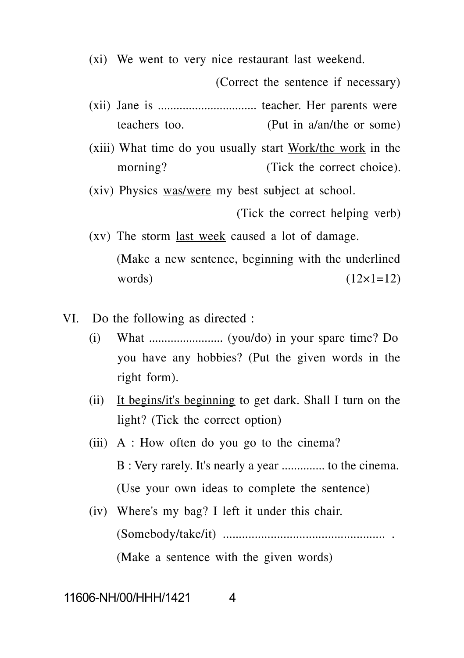(xi) We went to very nice restaurant last weekend.

(Correct the sentence if necessary)

- (xii) Jane is ................................ teacher. Her parents were teachers too. (Put in a/an/the or some)
- (xiii) What time do you usually start Work/the work in the morning? (Tick the correct choice).

(xiv) Physics was/were my best subject at school.

(Tick the correct helping verb)

- (xv) The storm last week caused a lot of damage. (Make a new sentence, beginning with the underlined words)  $(12\times1=12)$
- VI. Do the following as directed :
	- (i) What  $\ldots$   $\ldots$   $\ldots$   $\ldots$   $\ldots$   $\ldots$   $\ldots$   $\ldots$   $\ldots$   $\ldots$   $\ldots$   $\ldots$   $\ldots$   $\ldots$   $\ldots$   $\ldots$   $\ldots$   $\ldots$   $\ldots$   $\ldots$   $\ldots$   $\ldots$   $\ldots$   $\ldots$   $\ldots$   $\ldots$   $\ldots$   $\ldots$   $\ldots$   $\ldots$   $\ldots$   $\ldots$   $\ldots$   $\ldots$   $\ldots$   $\$ you have any hobbies? (Put the given words in the right form).
	- (ii) It begins/it's beginning to get dark. Shall I turn on the light? (Tick the correct option)
	- (iii) A : How often do you go to the cinema? B : Very rarely. It's nearly a year .............. to the cinema. (Use your own ideas to complete the sentence)
	- (iv) Where's my bag? I left it under this chair. (Somebody/take/it) ................................................... . (Make a sentence with the given words)